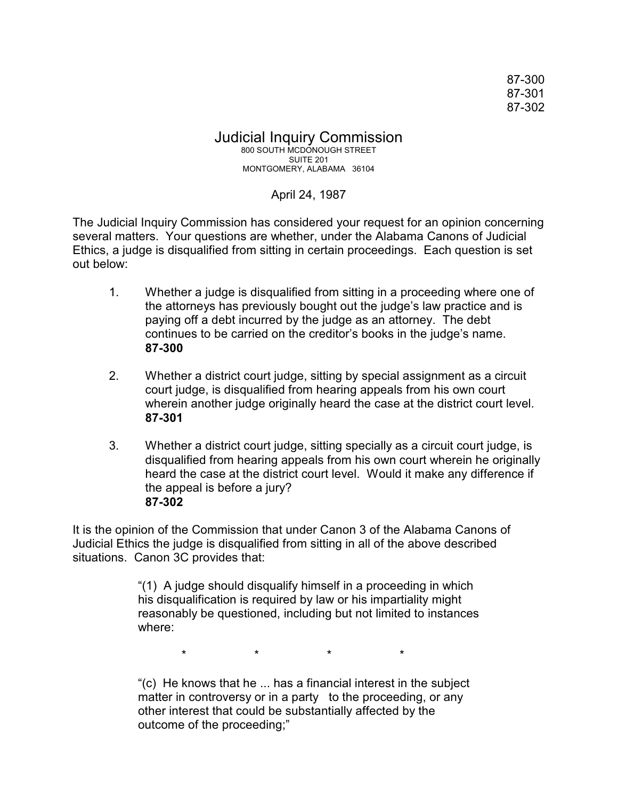87-300 87-301 87-302

## Judicial Inquiry Commission 800 SOUTH MCDONOUGH STREET SUITE 201 MONTGOMERY, ALABAMA 36104

## April 24, 1987

The Judicial Inquiry Commission has considered your request for an opinion concerning several matters. Your questions are whether, under the Alabama Canons of Judicial Ethics, a judge is disqualified from sitting in certain proceedings. Each question is set out below:

- 1. Whether a judge is disqualified from sitting in a proceeding where one of the attorneys has previously bought out the judge's law practice and is paying off a debt incurred by the judge as an attorney. The debt continues to be carried on the creditor's books in the judge's name. **87-300**
- 2. Whether a district court judge, sitting by special assignment as a circuit court judge, is disqualified from hearing appeals from his own court wherein another judge originally heard the case at the district court level. **87-301**
- 3. Whether a district court judge, sitting specially as a circuit court judge, is disqualified from hearing appeals from his own court wherein he originally heard the case at the district court level. Would it make any difference if the appeal is before a jury? **87-302**

It is the opinion of the Commission that under Canon 3 of the Alabama Canons of Judicial Ethics the judge is disqualified from sitting in all of the above described situations. Canon 3C provides that:

> "(1) A judge should disqualify himself in a proceeding in which his disqualification is required by law or his impartiality might reasonably be questioned, including but not limited to instances where:

> > \* \* \* \*

"(c) He knows that he ... has a financial interest in the subject matter in controversy or in a party to the proceeding, or any other interest that could be substantially affected by the outcome of the proceeding;"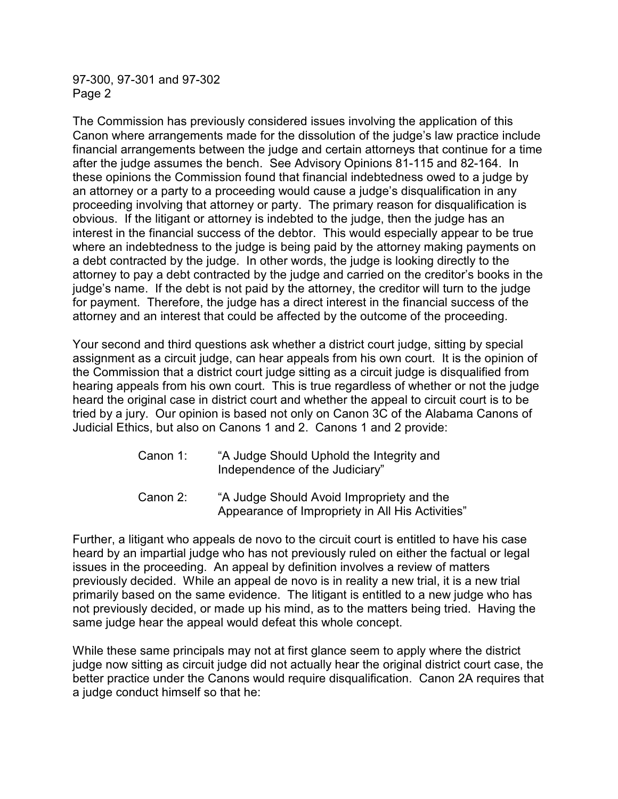97-300, 97-301 and 97-302 Page 2

The Commission has previously considered issues involving the application of this Canon where arrangements made for the dissolution of the judge's law practice include financial arrangements between the judge and certain attorneys that continue for a time after the judge assumes the bench. See Advisory Opinions 81-115 and 82-164. In these opinions the Commission found that financial indebtedness owed to a judge by an attorney or a party to a proceeding would cause a judge's disqualification in any proceeding involving that attorney or party. The primary reason for disqualification is obvious. If the litigant or attorney is indebted to the judge, then the judge has an interest in the financial success of the debtor. This would especially appear to be true where an indebtedness to the judge is being paid by the attorney making payments on a debt contracted by the judge. In other words, the judge is looking directly to the attorney to pay a debt contracted by the judge and carried on the creditor's books in the judge's name. If the debt is not paid by the attorney, the creditor will turn to the judge for payment. Therefore, the judge has a direct interest in the financial success of the attorney and an interest that could be affected by the outcome of the proceeding.

Your second and third questions ask whether a district court judge, sitting by special assignment as a circuit judge, can hear appeals from his own court. It is the opinion of the Commission that a district court judge sitting as a circuit judge is disqualified from hearing appeals from his own court. This is true regardless of whether or not the judge heard the original case in district court and whether the appeal to circuit court is to be tried by a jury. Our opinion is based not only on Canon 3C of the Alabama Canons of Judicial Ethics, but also on Canons 1 and 2. Canons 1 and 2 provide:

- Canon 1: "A Judge Should Uphold the Integrity and Independence of the Judiciary"
- Canon 2: "A Judge Should Avoid Impropriety and the Appearance of Impropriety in All His Activities"

Further, a litigant who appeals de novo to the circuit court is entitled to have his case heard by an impartial judge who has not previously ruled on either the factual or legal issues in the proceeding. An appeal by definition involves a review of matters previously decided. While an appeal de novo is in reality a new trial, it is a new trial primarily based on the same evidence. The litigant is entitled to a new judge who has not previously decided, or made up his mind, as to the matters being tried. Having the same judge hear the appeal would defeat this whole concept.

While these same principals may not at first glance seem to apply where the district judge now sitting as circuit judge did not actually hear the original district court case, the better practice under the Canons would require disqualification. Canon 2A requires that a judge conduct himself so that he: